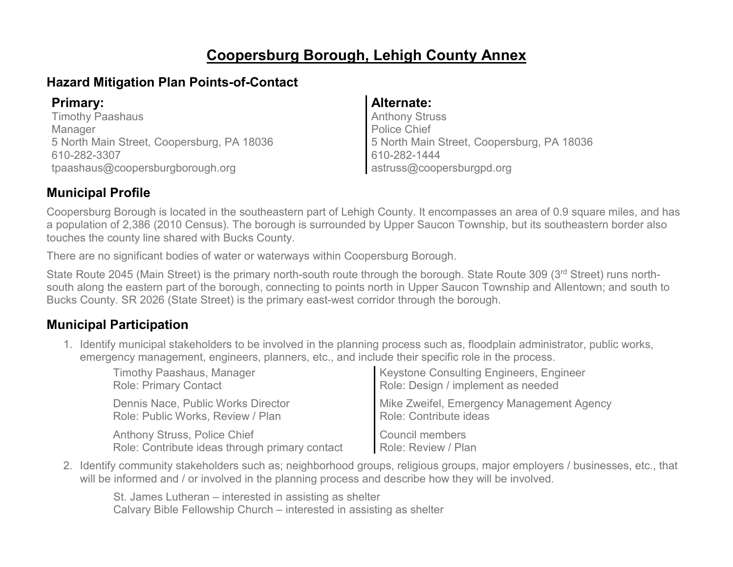# **Coopersburg Borough, Lehigh County Annex**

# **Hazard Mitigation Plan Points-of-Contact**

Timothy Paashaus Manager 5 North Main Street, Coopersburg, PA 18036 610-282-3307 tpaashaus@coopersburgborough.org

### **Primary: Alternate:**

Anthony Struss Police Chief 5 North Main Street, Coopersburg, PA 18036 610-282-1444 astruss@coopersburgpd.org

# **Municipal Profile**

Coopersburg Borough is located in the southeastern part of Lehigh County. It encompasses an area of 0.9 square miles, and has a population of 2,386 (2010 Census). The borough is surrounded by Upper Saucon Township, but its southeastern border also touches the county line shared with Bucks County.

There are no significant bodies of water or waterways within Coopersburg Borough.

State Route 2045 (Main Street) is the primary north-south route through the borough. State Route 309 (3rd Street) runs northsouth along the eastern part of the borough, connecting to points north in Upper Saucon Township and Allentown; and south to Bucks County. SR 2026 (State Street) is the primary east-west corridor through the borough.

# **Municipal Participation**

1. Identify municipal stakeholders to be involved in the planning process such as, floodplain administrator, public works, emergency management, engineers, planners, etc., and include their specific role in the process.

| <b>Timothy Paashaus, Manager</b>               | <b>Keystone Consulting Engineers, Engineer</b> |
|------------------------------------------------|------------------------------------------------|
| <b>Role: Primary Contact</b>                   | Role: Design / implement as needed             |
| Dennis Nace, Public Works Director             | Mike Zweifel, Emergency Management Agency      |
| Role: Public Works, Review / Plan              | Role: Contribute ideas                         |
| <b>Anthony Struss, Police Chief</b>            | <b>Council members</b>                         |
| Role: Contribute ideas through primary contact | Role: Review / Plan                            |

2. Identify community stakeholders such as; neighborhood groups, religious groups, major employers / businesses, etc., that will be informed and / or involved in the planning process and describe how they will be involved.

St. James Lutheran – interested in assisting as shelter Calvary Bible Fellowship Church – interested in assisting as shelter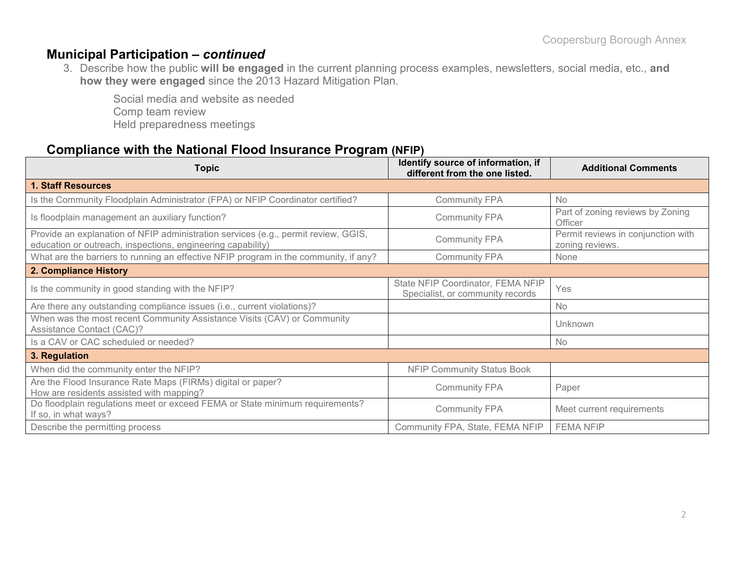### **Municipal Participation –** *continued*

3. Describe how the public **will be engaged** in the current planning process examples, newsletters, social media, etc., **and how they were engaged** since the 2013 Hazard Mitigation Plan.

Social media and website as needed Comp team review Held preparedness meetings

### **Compliance with the National Flood Insurance Program (NFIP)**

| <b>Topic</b>                                                                                                                                      | Identify source of information, if<br>different from the one listed.  | <b>Additional Comments</b>                            |
|---------------------------------------------------------------------------------------------------------------------------------------------------|-----------------------------------------------------------------------|-------------------------------------------------------|
| <b>1. Staff Resources</b>                                                                                                                         |                                                                       |                                                       |
| Is the Community Floodplain Administrator (FPA) or NFIP Coordinator certified?                                                                    | <b>Community FPA</b>                                                  | <b>No</b>                                             |
| Is floodplain management an auxiliary function?                                                                                                   | <b>Community FPA</b>                                                  | Part of zoning reviews by Zoning<br>Officer           |
| Provide an explanation of NFIP administration services (e.g., permit review, GGIS,<br>education or outreach, inspections, engineering capability) | <b>Community FPA</b>                                                  | Permit reviews in conjunction with<br>zoning reviews. |
| What are the barriers to running an effective NFIP program in the community, if any?                                                              | <b>Community FPA</b>                                                  | None                                                  |
| 2. Compliance History                                                                                                                             |                                                                       |                                                       |
| Is the community in good standing with the NFIP?                                                                                                  | State NFIP Coordinator, FEMA NFIP<br>Specialist, or community records | Yes                                                   |
| Are there any outstanding compliance issues (i.e., current violations)?                                                                           |                                                                       | No                                                    |
| When was the most recent Community Assistance Visits (CAV) or Community<br>Assistance Contact (CAC)?                                              |                                                                       | <b>Unknown</b>                                        |
| Is a CAV or CAC scheduled or needed?                                                                                                              |                                                                       | No                                                    |
| 3. Regulation                                                                                                                                     |                                                                       |                                                       |
| When did the community enter the NFIP?                                                                                                            | <b>NFIP Community Status Book</b>                                     |                                                       |
| Are the Flood Insurance Rate Maps (FIRMs) digital or paper?<br>How are residents assisted with mapping?                                           | <b>Community FPA</b>                                                  | Paper                                                 |
| Do floodplain regulations meet or exceed FEMA or State minimum requirements?<br>If so, in what ways?                                              | <b>Community FPA</b>                                                  | Meet current requirements                             |
| Describe the permitting process                                                                                                                   | Community FPA, State, FEMA NFIP                                       | <b>FEMA NFIP</b>                                      |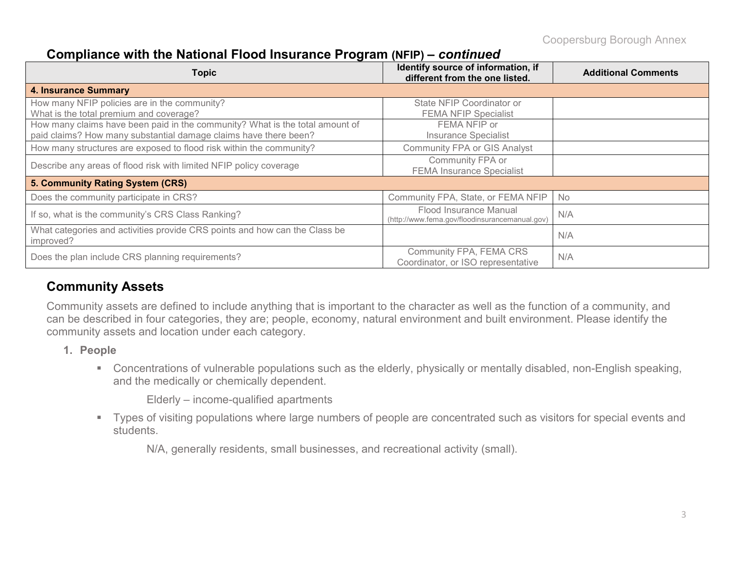Coopersburg Borough Annex

# **Compliance with the National Flood Insurance Program (NFIP) –** *continued*

| <b>Topic</b>                                                                                                                                     | Identify source of information, if<br>different from the one listed.     | <b>Additional Comments</b> |
|--------------------------------------------------------------------------------------------------------------------------------------------------|--------------------------------------------------------------------------|----------------------------|
| <b>4. Insurance Summary</b>                                                                                                                      |                                                                          |                            |
| How many NFIP policies are in the community?<br>What is the total premium and coverage?                                                          | State NFIP Coordinator or<br><b>FEMA NFIP Specialist</b>                 |                            |
| How many claims have been paid in the community? What is the total amount of<br>paid claims? How many substantial damage claims have there been? | FEMA NFIP or<br><b>Insurance Specialist</b>                              |                            |
| How many structures are exposed to flood risk within the community?                                                                              | <b>Community FPA or GIS Analyst</b>                                      |                            |
| Describe any areas of flood risk with limited NFIP policy coverage                                                                               | Community FPA or<br><b>FEMA Insurance Specialist</b>                     |                            |
| 5. Community Rating System (CRS)                                                                                                                 |                                                                          |                            |
| Does the community participate in CRS?                                                                                                           | Community FPA, State, or FEMA NFIP                                       | <b>No</b>                  |
| If so, what is the community's CRS Class Ranking?                                                                                                | Flood Insurance Manual<br>(http://www.fema.gov/floodinsurancemanual.gov) | N/A                        |
| What categories and activities provide CRS points and how can the Class be<br>improved?                                                          |                                                                          | N/A                        |
| Does the plan include CRS planning requirements?                                                                                                 | Community FPA, FEMA CRS<br>Coordinator, or ISO representative            | N/A                        |

# **Community Assets**

Community assets are defined to include anything that is important to the character as well as the function of a community, and can be described in four categories, they are; people, economy, natural environment and built environment. Please identify the community assets and location under each category.

- **1. People**
	- Concentrations of vulnerable populations such as the elderly, physically or mentally disabled, non-English speaking, and the medically or chemically dependent.

Elderly – income-qualified apartments

 Types of visiting populations where large numbers of people are concentrated such as visitors for special events and students.

N/A, generally residents, small businesses, and recreational activity (small).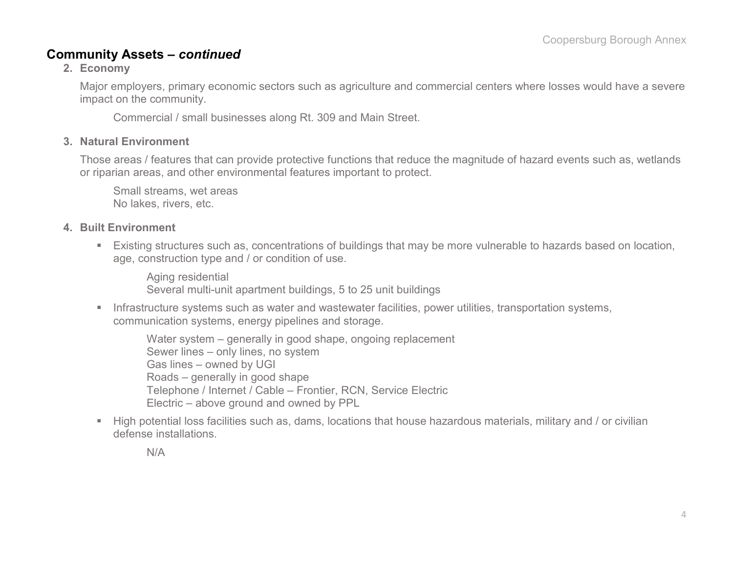### **Community Assets –** *continued*

**2. Economy**

Major employers, primary economic sectors such as agriculture and commercial centers where losses would have a severe impact on the community.

Commercial / small businesses along Rt. 309 and Main Street.

#### **3. Natural Environment**

Those areas / features that can provide protective functions that reduce the magnitude of hazard events such as, wetlands or riparian areas, and other environmental features important to protect.

Small streams, wet areas No lakes, rivers, etc.

#### **4. Built Environment**

 Existing structures such as, concentrations of buildings that may be more vulnerable to hazards based on location, age, construction type and / or condition of use.

Aging residential Several multi-unit apartment buildings, 5 to 25 unit buildings

**Infrastructure systems such as water and wastewater facilities, power utilities, transportation systems,** communication systems, energy pipelines and storage.

Water system – generally in good shape, ongoing replacement Sewer lines – only lines, no system Gas lines – owned by UGI Roads – generally in good shape Telephone / Internet / Cable – Frontier, RCN, Service Electric Electric – above ground and owned by PPL

 High potential loss facilities such as, dams, locations that house hazardous materials, military and / or civilian defense installations.

N/A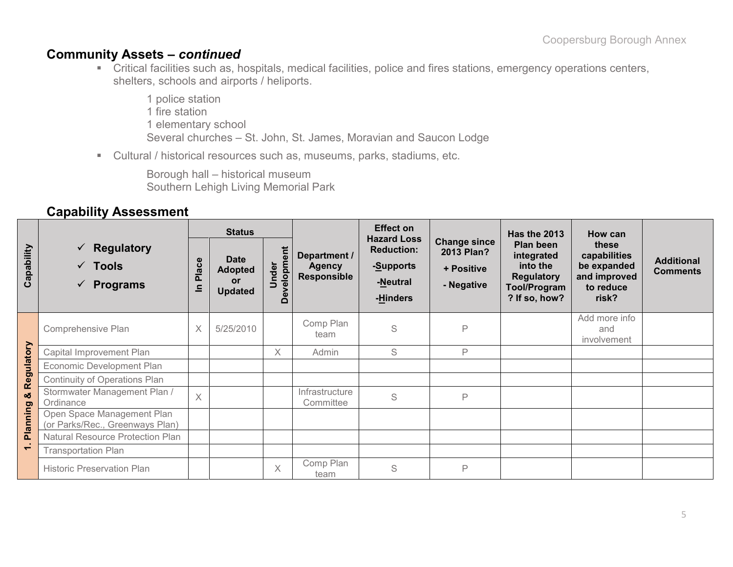### **Community Assets –** *continued*

- Critical facilities such as, hospitals, medical facilities, police and fires stations, emergency operations centers, shelters, schools and airports / heliports.
	- 1 police station 1 fire station 1 elementary school Several churches – St. John, St. James, Moravian and Saucon Lodge
- Cultural / historical resources such as, museums, parks, stadiums, etc.

Borough hall – historical museum Southern Lehigh Living Memorial Park

### **Capability Assessment**

|                |                                                                        | <b>Status</b> |                                                              |                      |                                                     | <b>Effect on</b>                                                             |                                                                      | <b>Has the 2013</b>                                                                              | How can                                                                    |                                      |
|----------------|------------------------------------------------------------------------|---------------|--------------------------------------------------------------|----------------------|-----------------------------------------------------|------------------------------------------------------------------------------|----------------------------------------------------------------------|--------------------------------------------------------------------------------------------------|----------------------------------------------------------------------------|--------------------------------------|
| Capability     | Regulatory<br>$\checkmark$<br>$\sqrt{ }$ Tools<br><b>Programs</b><br>✓ | Place<br>드    | <b>Date</b><br><b>Adopted</b><br><b>or</b><br><b>Updated</b> | Development<br>Under | Department /<br><b>Agency</b><br><b>Responsible</b> | <b>Hazard Loss</b><br><b>Reduction:</b><br>-Supports<br>-Neutral<br>-Hinders | <b>Change since</b><br><b>2013 Plan?</b><br>+ Positive<br>- Negative | Plan been<br>integrated<br>into the<br><b>Regulatory</b><br><b>Tool/Program</b><br>? If so, how? | these<br>capabilities<br>be expanded<br>and improved<br>to reduce<br>risk? | <b>Additional</b><br><b>Comments</b> |
|                | Comprehensive Plan                                                     | $\times$      | 5/25/2010                                                    |                      | Comp Plan<br>team                                   | S                                                                            | P                                                                    |                                                                                                  | Add more info<br>and<br>involvement                                        |                                      |
| Regulatory     | Capital Improvement Plan                                               |               |                                                              | $\times$             | Admin                                               | S                                                                            | P                                                                    |                                                                                                  |                                                                            |                                      |
|                | Economic Development Plan                                              |               |                                                              |                      |                                                     |                                                                              |                                                                      |                                                                                                  |                                                                            |                                      |
|                | Continuity of Operations Plan                                          |               |                                                              |                      |                                                     |                                                                              |                                                                      |                                                                                                  |                                                                            |                                      |
| න්             | Stormwater Management Plan /<br>Ordinance                              | $\times$      |                                                              |                      | Infrastructure<br>Committee                         | S                                                                            | P                                                                    |                                                                                                  |                                                                            |                                      |
| Planning       | Open Space Management Plan<br>(or Parks/Rec., Greenways Plan)          |               |                                                              |                      |                                                     |                                                                              |                                                                      |                                                                                                  |                                                                            |                                      |
|                | Natural Resource Protection Plan                                       |               |                                                              |                      |                                                     |                                                                              |                                                                      |                                                                                                  |                                                                            |                                      |
| $\overline{ }$ | <b>Transportation Plan</b>                                             |               |                                                              |                      |                                                     |                                                                              |                                                                      |                                                                                                  |                                                                            |                                      |
|                | <b>Historic Preservation Plan</b>                                      |               |                                                              | X                    | Comp Plan<br>team                                   | S                                                                            | P                                                                    |                                                                                                  |                                                                            |                                      |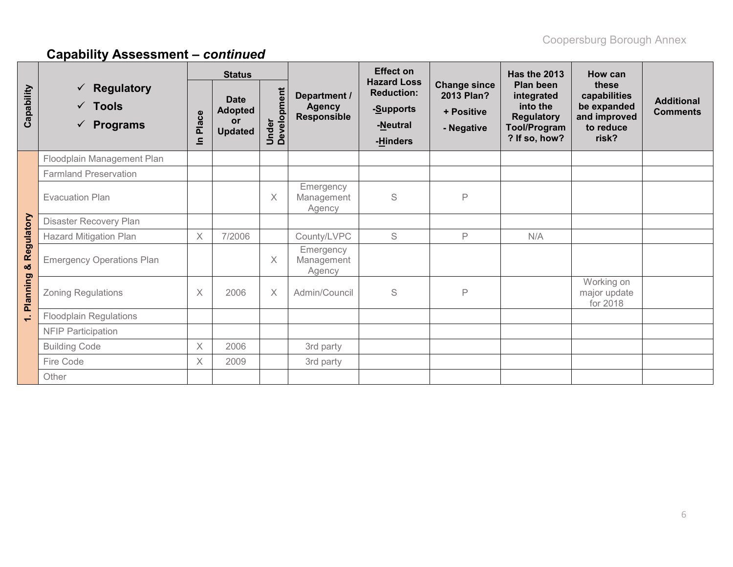|              |                                                                  | <b>Status</b> |                                                       |                      |                                                     | <b>Effect on</b>                                                             |                                                               | Has the 2013                                                                                     | <b>How can</b>                                                             |                                      |
|--------------|------------------------------------------------------------------|---------------|-------------------------------------------------------|----------------------|-----------------------------------------------------|------------------------------------------------------------------------------|---------------------------------------------------------------|--------------------------------------------------------------------------------------------------|----------------------------------------------------------------------------|--------------------------------------|
| Capability   | <b>Regulatory</b><br>$\checkmark$ Tools<br>$\checkmark$ Programs | Place<br>르    | <b>Date</b><br><b>Adopted</b><br>or<br><b>Updated</b> | Under<br>Development | Department /<br><b>Agency</b><br><b>Responsible</b> | <b>Hazard Loss</b><br><b>Reduction:</b><br>-Supports<br>-Neutral<br>-Hinders | <b>Change since</b><br>2013 Plan?<br>+ Positive<br>- Negative | Plan been<br>integrated<br>into the<br><b>Regulatory</b><br><b>Tool/Program</b><br>? If so, how? | these<br>capabilities<br>be expanded<br>and improved<br>to reduce<br>risk? | <b>Additional</b><br><b>Comments</b> |
|              | Floodplain Management Plan                                       |               |                                                       |                      |                                                     |                                                                              |                                                               |                                                                                                  |                                                                            |                                      |
|              | <b>Farmland Preservation</b>                                     |               |                                                       |                      |                                                     |                                                                              |                                                               |                                                                                                  |                                                                            |                                      |
|              | <b>Evacuation Plan</b>                                           |               |                                                       | Χ                    | Emergency<br>Management<br>Agency                   | S                                                                            | P                                                             |                                                                                                  |                                                                            |                                      |
|              | Disaster Recovery Plan                                           |               |                                                       |                      |                                                     |                                                                              |                                                               |                                                                                                  |                                                                            |                                      |
|              | <b>Hazard Mitigation Plan</b>                                    | $\times$      | 7/2006                                                |                      | County/LVPC                                         | S                                                                            | P                                                             | N/A                                                                                              |                                                                            |                                      |
| & Regulatory | <b>Emergency Operations Plan</b>                                 |               |                                                       | X                    | Emergency<br>Management<br>Agency                   |                                                                              |                                                               |                                                                                                  |                                                                            |                                      |
| Planning     | <b>Zoning Regulations</b>                                        | X             | 2006                                                  | Χ                    | Admin/Council                                       | $\mathbb S$                                                                  | P                                                             |                                                                                                  | Working on<br>major update<br>for 2018                                     |                                      |
| $\div$       | <b>Floodplain Regulations</b>                                    |               |                                                       |                      |                                                     |                                                                              |                                                               |                                                                                                  |                                                                            |                                      |
|              | <b>NFIP Participation</b>                                        |               |                                                       |                      |                                                     |                                                                              |                                                               |                                                                                                  |                                                                            |                                      |
|              | <b>Building Code</b>                                             | X             | 2006                                                  |                      | 3rd party                                           |                                                                              |                                                               |                                                                                                  |                                                                            |                                      |
|              | Fire Code                                                        | X             | 2009                                                  |                      | 3rd party                                           |                                                                              |                                                               |                                                                                                  |                                                                            |                                      |
|              | Other                                                            |               |                                                       |                      |                                                     |                                                                              |                                                               |                                                                                                  |                                                                            |                                      |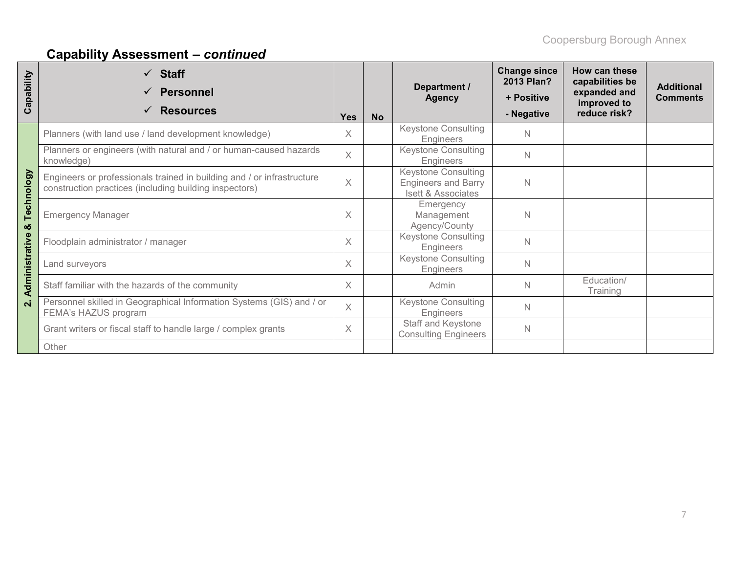| apability<br>ပ          | <b>Staff</b><br><b>Personnel</b><br><b>Resources</b>                                                                             | <b>Yes</b> | <b>No</b> | Department /<br><b>Agency</b>                                           | <b>Change since</b><br>2013 Plan?<br>+ Positive<br>- Negative | How can these<br>capabilities be<br>expanded and<br>improved to<br>reduce risk? | <b>Additional</b><br><b>Comments</b> |
|-------------------------|----------------------------------------------------------------------------------------------------------------------------------|------------|-----------|-------------------------------------------------------------------------|---------------------------------------------------------------|---------------------------------------------------------------------------------|--------------------------------------|
|                         | Planners (with land use / land development knowledge)                                                                            | $\times$   |           | <b>Keystone Consulting</b><br><b>Engineers</b>                          | $\mathbb N$                                                   |                                                                                 |                                      |
|                         | Planners or engineers (with natural and / or human-caused hazards<br>knowledge)                                                  | $\times$   |           | <b>Keystone Consulting</b><br>Engineers                                 | $\mathbb N$                                                   |                                                                                 |                                      |
| Technology              | Engineers or professionals trained in building and / or infrastructure<br>construction practices (including building inspectors) | $\times$   |           | Keystone Consulting<br><b>Engineers and Barry</b><br>Isett & Associates | $\mathbb N$                                                   |                                                                                 |                                      |
| ೲ                       | <b>Emergency Manager</b>                                                                                                         | $\times$   |           | Emergency<br>Management<br>Agency/County                                | $\mathbb N$                                                   |                                                                                 |                                      |
|                         | Floodplain administrator / manager                                                                                               | $\times$   |           | <b>Keystone Consulting</b><br><b>Engineers</b>                          | $\mathbb N$                                                   |                                                                                 |                                      |
| Administrative          | Land surveyors                                                                                                                   |            |           | <b>Keystone Consulting</b><br>Engineers                                 | $\mathbb N$                                                   |                                                                                 |                                      |
|                         | Staff familiar with the hazards of the community                                                                                 | $\times$   |           | Admin                                                                   | $\mathbb N$                                                   | Education/<br>Training                                                          |                                      |
| $\overline{\mathbf{a}}$ | Personnel skilled in Geographical Information Systems (GIS) and / or<br>FEMA's HAZUS program                                     |            |           | <b>Keystone Consulting</b><br>Engineers                                 | $\mathbb N$                                                   |                                                                                 |                                      |
|                         | Grant writers or fiscal staff to handle large / complex grants                                                                   |            |           | Staff and Keystone<br><b>Consulting Engineers</b>                       | $\mathbb N$                                                   |                                                                                 |                                      |
|                         | Other                                                                                                                            |            |           |                                                                         |                                                               |                                                                                 |                                      |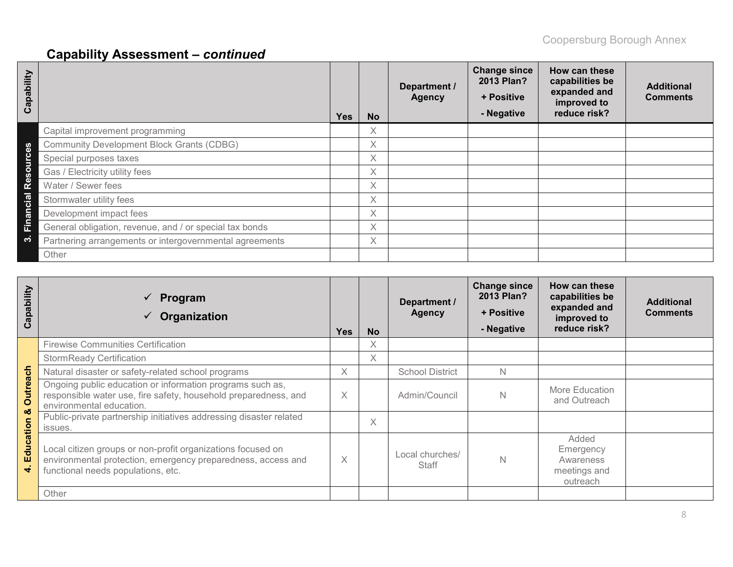| Capability                 |                                                         | <b>Yes</b> | <b>No</b>         | Department /<br><b>Agency</b> | <b>Change since</b><br>2013 Plan?<br>+ Positive<br>- Negative | How can these<br>capabilities be<br>expanded and<br>improved to<br>reduce risk? | <b>Additional</b><br><b>Comments</b> |
|----------------------------|---------------------------------------------------------|------------|-------------------|-------------------------------|---------------------------------------------------------------|---------------------------------------------------------------------------------|--------------------------------------|
|                            | Capital improvement programming                         |            | X                 |                               |                                                               |                                                                                 |                                      |
| 89                         | <b>Community Development Block Grants (CDBG)</b>        |            | X                 |                               |                                                               |                                                                                 |                                      |
| Ō<br><b>Jino</b>           | Special purposes taxes                                  |            | X.                |                               |                                                               |                                                                                 |                                      |
| $\boldsymbol{\sigma}$      | Gas / Electricity utility fees                          |            | Χ                 |                               |                                                               |                                                                                 |                                      |
| قع<br>ه                    | Water / Sewer fees                                      |            | X                 |                               |                                                               |                                                                                 |                                      |
| <u>lai</u>                 | Stormwater utility fees                                 |            | X                 |                               |                                                               |                                                                                 |                                      |
| N<br>$\boldsymbol{\sigma}$ | Development impact fees                                 |            | $\times$          |                               |                                                               |                                                                                 |                                      |
| Ê                          | General obligation, revenue, and / or special tax bonds |            | $\checkmark$<br>∧ |                               |                                                               |                                                                                 |                                      |
| က                          | Partnering arrangements or intergovernmental agreements |            | X.                |                               |                                                               |                                                                                 |                                      |
|                            | Other                                                   |            |                   |                               |                                                               |                                                                                 |                                      |

| Capability             | $\checkmark$ Program<br>Organization                                                                                                                              | <b>Yes</b> | <b>No</b> | Department /<br><b>Agency</b>   | <b>Change since</b><br>2013 Plan?<br>+ Positive<br>- Negative | How can these<br>capabilities be<br>expanded and<br>improved to<br>reduce risk? | <b>Additional</b><br><b>Comments</b> |
|------------------------|-------------------------------------------------------------------------------------------------------------------------------------------------------------------|------------|-----------|---------------------------------|---------------------------------------------------------------|---------------------------------------------------------------------------------|--------------------------------------|
|                        | <b>Firewise Communities Certification</b>                                                                                                                         |            | X         |                                 |                                                               |                                                                                 |                                      |
|                        | <b>StormReady Certification</b>                                                                                                                                   |            | X.        |                                 |                                                               |                                                                                 |                                      |
|                        | Natural disaster or safety-related school programs                                                                                                                | $\times$   |           | <b>School District</b>          | N                                                             |                                                                                 |                                      |
| Outreach               | Ongoing public education or information programs such as,<br>responsible water use, fire safety, household preparedness, and<br>environmental education.          | X.         |           | Admin/Council                   | Ν                                                             | More Education<br>and Outreach                                                  |                                      |
| οð                     | Public-private partnership initiatives addressing disaster related<br>issues.                                                                                     |            | Χ         |                                 |                                                               |                                                                                 |                                      |
| Education<br>$\vec{r}$ | Local citizen groups or non-profit organizations focused on<br>environmental protection, emergency preparedness, access and<br>functional needs populations, etc. |            |           | Local churches/<br><b>Staff</b> | N                                                             | Added<br>Emergency<br>Awareness<br>meetings and<br>outreach                     |                                      |
|                        | Other                                                                                                                                                             |            |           |                                 |                                                               |                                                                                 |                                      |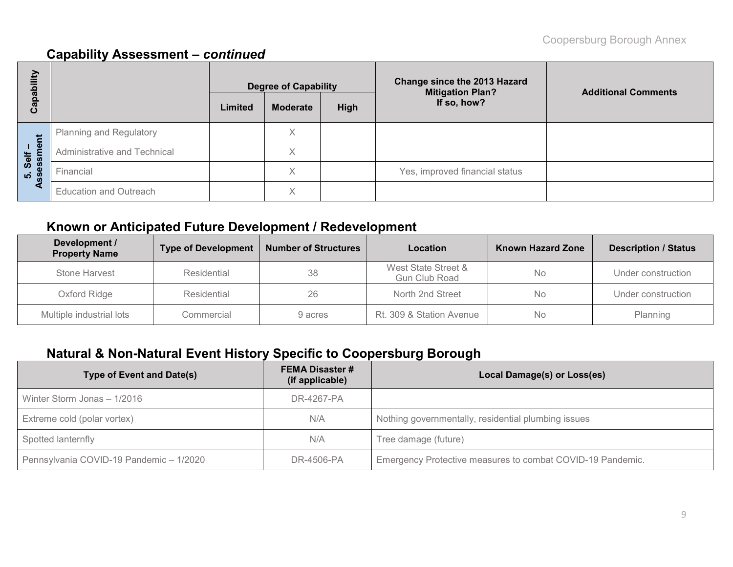| bility       |                               | <b>Degree of Capability</b> |                 |      | Change since the 2013 Hazard<br><b>Mitigation Plan?</b> | <b>Additional Comments</b> |  |
|--------------|-------------------------------|-----------------------------|-----------------|------|---------------------------------------------------------|----------------------------|--|
| ga<br>ത<br>ပ |                               | Limited                     | <b>Moderate</b> | High | If so, how?                                             |                            |  |
|              | Planning and Regulatory       |                             | Χ               |      |                                                         |                            |  |
| ment<br>Self | Administrative and Technical  |                             | X               |      |                                                         |                            |  |
| sessi<br>ູທ່ | Financial                     |                             | Χ               |      | Yes, improved financial status                          |                            |  |
| ₫            | <b>Education and Outreach</b> |                             | Χ               |      |                                                         |                            |  |

# **Known or Anticipated Future Development / Redevelopment**

| Development /<br><b>Property Name</b> | <b>Number of Structures</b><br><b>Type of Development</b><br>Location |         | <b>Known Hazard Zone</b>                    | <b>Description / Status</b> |                    |
|---------------------------------------|-----------------------------------------------------------------------|---------|---------------------------------------------|-----------------------------|--------------------|
| Stone Harvest                         | Residential                                                           | 38      | West State Street &<br><b>Gun Club Road</b> | <b>No</b>                   | Under construction |
| Oxford Ridge                          | Residential                                                           | 26      | North 2nd Street                            | <b>No</b>                   | Under construction |
| Multiple industrial lots              | Commercial                                                            | 9 acres | Rt. 309 & Station Avenue                    | No.                         | Planning           |

# **Natural & Non-Natural Event History Specific to Coopersburg Borough**

| <b>Type of Event and Date(s)</b>        | <b>FEMA Disaster #</b><br>(if applicable) | Local Damage(s) or Loss(es)                                |
|-----------------------------------------|-------------------------------------------|------------------------------------------------------------|
| Winter Storm Jonas - 1/2016             | DR-4267-PA                                |                                                            |
| Extreme cold (polar vortex)             | N/A                                       | Nothing governmentally, residential plumbing issues        |
| Spotted lanternfly                      | N/A                                       | Tree damage (future)                                       |
| Pennsylvania COVID-19 Pandemic - 1/2020 | DR-4506-PA                                | Emergency Protective measures to combat COVID-19 Pandemic. |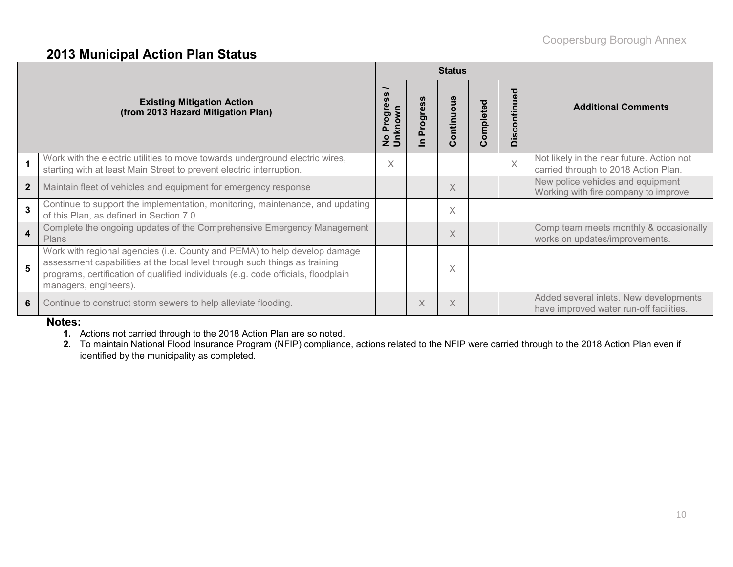### **2013 Municipal Action Plan Status**

|                                                                         |                                                                                                                                                                                                                                                                       |   |   | <b>Status</b>                |           |                                |                                                                                   |
|-------------------------------------------------------------------------|-----------------------------------------------------------------------------------------------------------------------------------------------------------------------------------------------------------------------------------------------------------------------|---|---|------------------------------|-----------|--------------------------------|-----------------------------------------------------------------------------------|
| <b>Existing Mitigation Action</b><br>(from 2013 Hazard Mitigation Plan) |                                                                                                                                                                                                                                                                       |   |   | ntinuous<br>ō<br>$\mathbf C$ | Completed | ್ಠಾ<br>ntin<br>$\circ$<br>Disc | <b>Additional Comments</b>                                                        |
| $\mathbf{1}$                                                            | Work with the electric utilities to move towards underground electric wires,<br>starting with at least Main Street to prevent electric interruption.                                                                                                                  | Χ |   |                              |           | $\times$                       | Not likely in the near future. Action not<br>carried through to 2018 Action Plan. |
| $\mathbf{2}$                                                            | Maintain fleet of vehicles and equipment for emergency response                                                                                                                                                                                                       |   |   | X                            |           |                                | New police vehicles and equipment<br>Working with fire company to improve         |
| $\overline{3}$                                                          | Continue to support the implementation, monitoring, maintenance, and updating<br>of this Plan, as defined in Section 7.0                                                                                                                                              |   |   | X                            |           |                                |                                                                                   |
| $\overline{\mathbf{4}}$                                                 | Complete the ongoing updates of the Comprehensive Emergency Management<br><b>Plans</b>                                                                                                                                                                                |   |   | $\times$                     |           |                                | Comp team meets monthly & occasionally<br>works on updates/improvements.          |
| 5                                                                       | Work with regional agencies (i.e. County and PEMA) to help develop damage<br>assessment capabilities at the local level through such things as training<br>programs, certification of qualified individuals (e.g. code officials, floodplain<br>managers, engineers). |   |   | X                            |           |                                |                                                                                   |
| 6                                                                       | Continue to construct storm sewers to help alleviate flooding.                                                                                                                                                                                                        |   | X | X                            |           |                                | Added several inlets. New developments<br>have improved water run-off facilities. |

#### **Notes:**

- **1.** Actions not carried through to the 2018 Action Plan are so noted.
- **2.** To maintain National Flood Insurance Program (NFIP) compliance, actions related to the NFIP were carried through to the 2018 Action Plan even if identified by the municipality as completed.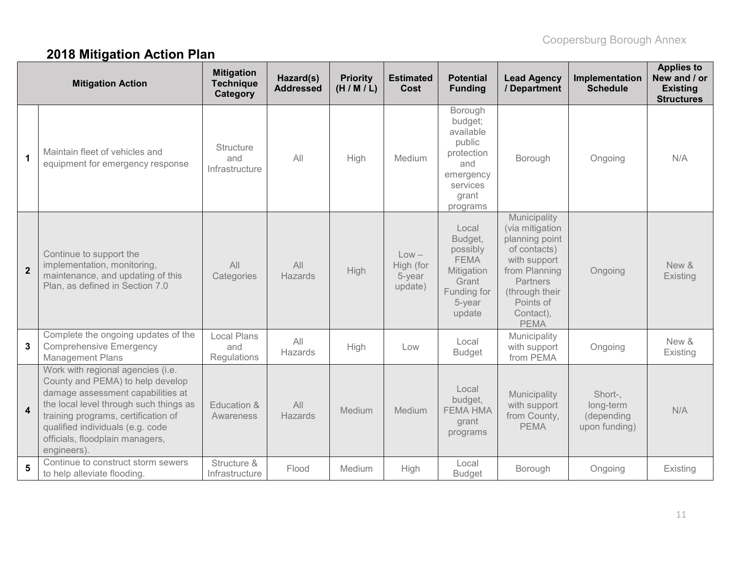# **2018 Mitigation Action Plan**

| <b>Mitigation Action</b> |                                                                                                                                                                                                                                                                                   | <b>Mitigation</b><br><b>Technique</b><br>Category | Hazard(s)<br><b>Addressed</b> | <b>Priority</b><br>(H/M/L) | <b>Estimated</b><br>Cost                  | <b>Potential</b><br><b>Funding</b>                                                                           | <b>Lead Agency</b><br>/ Department                                                                                                                                        | Implementation<br><b>Schedule</b>                   | <b>Applies to</b><br>New and / or<br><b>Existing</b><br><b>Structures</b> |
|--------------------------|-----------------------------------------------------------------------------------------------------------------------------------------------------------------------------------------------------------------------------------------------------------------------------------|---------------------------------------------------|-------------------------------|----------------------------|-------------------------------------------|--------------------------------------------------------------------------------------------------------------|---------------------------------------------------------------------------------------------------------------------------------------------------------------------------|-----------------------------------------------------|---------------------------------------------------------------------------|
| $\mathbf 1$              | Maintain fleet of vehicles and<br>equipment for emergency response                                                                                                                                                                                                                | <b>Structure</b><br>and<br>Infrastructure         | All                           | High                       | Medium                                    | Borough<br>budget;<br>available<br>public<br>protection<br>and<br>emergency<br>services<br>grant<br>programs | Borough                                                                                                                                                                   | Ongoing                                             | N/A                                                                       |
| $\overline{2}$           | Continue to support the<br>implementation, monitoring,<br>maintenance, and updating of this<br>Plan, as defined in Section 7.0                                                                                                                                                    | All<br>Categories                                 | All<br><b>Hazards</b>         | High                       | $Low -$<br>High (for<br>5-year<br>update) | Local<br>Budget,<br>possibly<br><b>FEMA</b><br>Mitigation<br>Grant<br>Funding for<br>5-year<br>update        | Municipality<br>(via mitigation<br>planning point<br>of contacts)<br>with support<br>from Planning<br>Partners<br>(through their<br>Points of<br>Contact),<br><b>PEMA</b> | Ongoing                                             | New &<br>Existing                                                         |
| 3                        | Complete the ongoing updates of the<br><b>Comprehensive Emergency</b><br><b>Management Plans</b>                                                                                                                                                                                  | <b>Local Plans</b><br>and<br>Regulations          | All<br>Hazards                | High                       | Low                                       | Local<br><b>Budget</b>                                                                                       | Municipality<br>with support<br>from PEMA                                                                                                                                 | Ongoing                                             | New &<br>Existing                                                         |
| $\overline{\mathbf{4}}$  | Work with regional agencies (i.e.<br>County and PEMA) to help develop<br>damage assessment capabilities at<br>the local level through such things as<br>training programs, certification of<br>qualified individuals (e.g. code<br>officials, floodplain managers,<br>engineers). | Education &<br>Awareness                          | All<br>Hazards                | Medium                     | Medium                                    | Local<br>budget,<br><b>FEMA HMA</b><br>grant<br>programs                                                     | Municipality<br>with support<br>from County,<br><b>PEMA</b>                                                                                                               | Short-,<br>long-term<br>(depending<br>upon funding) | N/A                                                                       |
| 5                        | Continue to construct storm sewers<br>to help alleviate flooding.                                                                                                                                                                                                                 | Structure &<br>Infrastructure                     | Flood                         | Medium                     | High                                      | Local<br><b>Budget</b>                                                                                       | Borough                                                                                                                                                                   | Ongoing                                             | Existing                                                                  |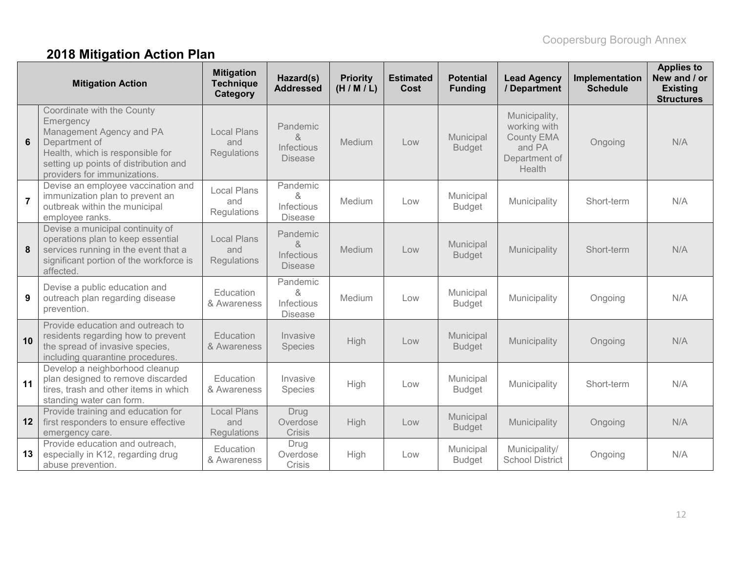# **2018 Mitigation Action Plan**

| <b>Mitigation Action</b> |                                                                                                                                                                                                   | <b>Mitigation</b><br><b>Technique</b><br>Category | Hazard(s)<br><b>Addressed</b>                 | <b>Priority</b><br>(H/M/L) | <b>Estimated</b><br>Cost | <b>Potential</b><br><b>Funding</b> | <b>Lead Agency</b><br>/ Department                                                      | Implementation<br><b>Schedule</b> | <b>Applies to</b><br>New and / or<br><b>Existing</b><br><b>Structures</b> |
|--------------------------|---------------------------------------------------------------------------------------------------------------------------------------------------------------------------------------------------|---------------------------------------------------|-----------------------------------------------|----------------------------|--------------------------|------------------------------------|-----------------------------------------------------------------------------------------|-----------------------------------|---------------------------------------------------------------------------|
| $6\phantom{1}$           | Coordinate with the County<br>Emergency<br>Management Agency and PA<br>Department of<br>Health, which is responsible for<br>setting up points of distribution and<br>providers for immunizations. | <b>Local Plans</b><br>and<br>Regulations          | Pandemic<br>&<br>Infectious<br><b>Disease</b> | Medium                     | Low                      | Municipal<br><b>Budget</b>         | Municipality,<br>working with<br><b>County EMA</b><br>and PA<br>Department of<br>Health | Ongoing                           | N/A                                                                       |
| $\overline{7}$           | Devise an employee vaccination and<br>immunization plan to prevent an<br>outbreak within the municipal<br>employee ranks.                                                                         | <b>Local Plans</b><br>and<br>Regulations          | Pandemic<br>&<br>Infectious<br><b>Disease</b> | Medium                     | Low                      | Municipal<br><b>Budget</b>         | Municipality                                                                            | Short-term                        | N/A                                                                       |
| 8                        | Devise a municipal continuity of<br>operations plan to keep essential<br>services running in the event that a<br>significant portion of the workforce is<br>affected.                             | <b>Local Plans</b><br>and<br>Regulations          | Pandemic<br>&<br>Infectious<br><b>Disease</b> | Medium                     | Low                      | Municipal<br><b>Budget</b>         | Municipality                                                                            | Short-term                        | N/A                                                                       |
| 9                        | Devise a public education and<br>outreach plan regarding disease<br>prevention.                                                                                                                   | Education<br>& Awareness                          | Pandemic<br>&<br>Infectious<br><b>Disease</b> | Medium                     | Low                      | Municipal<br><b>Budget</b>         | Municipality                                                                            | Ongoing                           | N/A                                                                       |
| 10                       | Provide education and outreach to<br>residents regarding how to prevent<br>the spread of invasive species,<br>including quarantine procedures.                                                    | Education<br>& Awareness                          | Invasive<br><b>Species</b>                    | High                       | Low                      | Municipal<br><b>Budget</b>         | Municipality                                                                            | Ongoing                           | N/A                                                                       |
| 11                       | Develop a neighborhood cleanup<br>plan designed to remove discarded<br>tires, trash and other items in which<br>standing water can form.                                                          | Education<br>& Awareness                          | Invasive<br>Species                           | High                       | Low                      | Municipal<br><b>Budget</b>         | Municipality                                                                            | Short-term                        | N/A                                                                       |
| 12                       | Provide training and education for<br>first responders to ensure effective<br>emergency care.                                                                                                     | <b>Local Plans</b><br>and<br>Regulations          | Drug<br>Overdose<br><b>Crisis</b>             | High                       | Low                      | Municipal<br><b>Budget</b>         | Municipality                                                                            | Ongoing                           | N/A                                                                       |
| 13                       | Provide education and outreach,<br>especially in K12, regarding drug<br>abuse prevention.                                                                                                         | Education<br>& Awareness                          | Drug<br>Overdose<br>Crisis                    | High                       | Low                      | Municipal<br><b>Budget</b>         | Municipality/<br><b>School District</b>                                                 | Ongoing                           | N/A                                                                       |